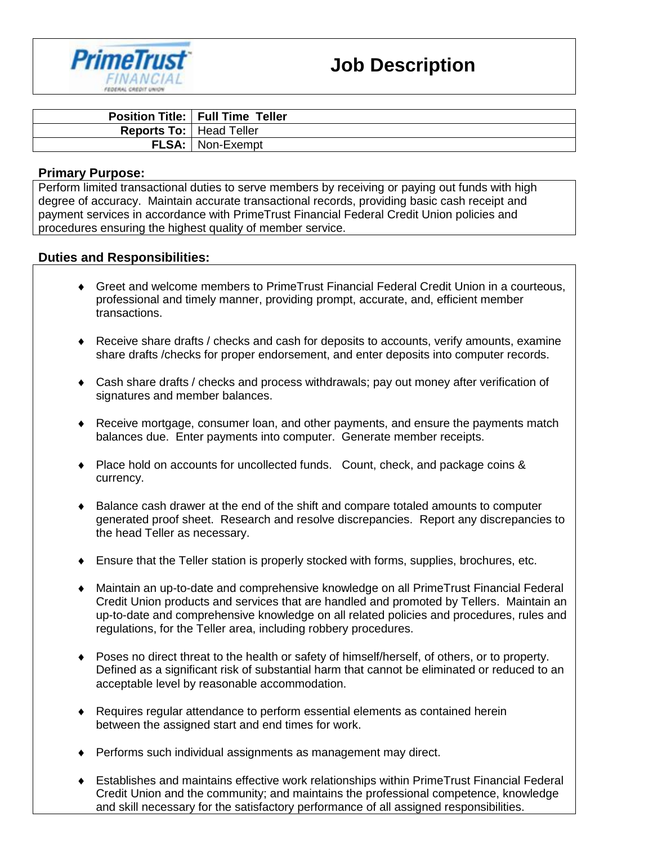

|                                  | <b>Position Title:   Full Time Teller</b> |
|----------------------------------|-------------------------------------------|
| <b>Reports To:   Head Teller</b> |                                           |
|                                  | <b>FLSA:</b>   Non-Exempt                 |

#### **Primary Purpose:**

Perform limited transactional duties to serve members by receiving or paying out funds with high degree of accuracy. Maintain accurate transactional records, providing basic cash receipt and payment services in accordance with PrimeTrust Financial Federal Credit Union policies and procedures ensuring the highest quality of member service.

### **Duties and Responsibilities:**

- Greet and welcome members to PrimeTrust Financial Federal Credit Union in a courteous, professional and timely manner, providing prompt, accurate, and, efficient member transactions.
- Receive share drafts / checks and cash for deposits to accounts, verify amounts, examine share drafts /checks for proper endorsement, and enter deposits into computer records.
- Cash share drafts / checks and process withdrawals; pay out money after verification of signatures and member balances.
- Receive mortgage, consumer loan, and other payments, and ensure the payments match balances due. Enter payments into computer. Generate member receipts.
- Place hold on accounts for uncollected funds. Count, check, and package coins & currency.
- Balance cash drawer at the end of the shift and compare totaled amounts to computer generated proof sheet. Research and resolve discrepancies. Report any discrepancies to the head Teller as necessary.
- Ensure that the Teller station is properly stocked with forms, supplies, brochures, etc.
- Maintain an up-to-date and comprehensive knowledge on all PrimeTrust Financial Federal Credit Union products and services that are handled and promoted by Tellers. Maintain an up-to-date and comprehensive knowledge on all related policies and procedures, rules and regulations, for the Teller area, including robbery procedures.
- Poses no direct threat to the health or safety of himself/herself, of others, or to property. Defined as a significant risk of substantial harm that cannot be eliminated or reduced to an acceptable level by reasonable accommodation.
- Requires regular attendance to perform essential elements as contained herein between the assigned start and end times for work.
- Performs such individual assignments as management may direct.
- Establishes and maintains effective work relationships within PrimeTrust Financial Federal Credit Union and the community; and maintains the professional competence, knowledge and skill necessary for the satisfactory performance of all assigned responsibilities.